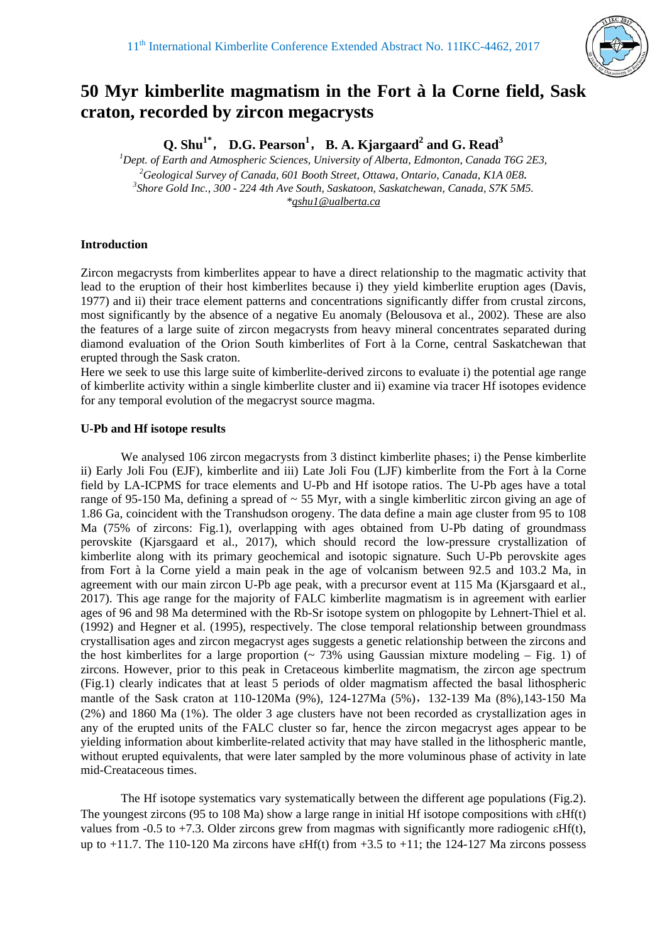

# **50 Myr kimberlite magmatism in the Fort à la Corne field, Sask craton, recorded by zircon megacrysts**

Q. Shu<sup>1\*</sup>, D.G. Pearson<sup>1</sup>, B. A. Kjargaard<sup>2</sup> and G. Read<sup>3</sup>

<sup>1</sup> Dept. of Earth and Atmospheric Sciences, University of Alberta, Edmonton, Canada T6G 2E3, <sup>2</sup>Coologiaal Sumay of Canada 601 Booth Street, Ottawa, Optawie, Canada K1A 0E8 <sup>2</sup> Geological Survey of Canada, 601 Booth Street, Ottawa, Ontario, Canada, K1A 0E8. *Shore Gold Inc., 300 - 224 4th Ave South, Saskatoon, Saskatchewan, Canada, S7K 5M5. \*qshu1@ualberta.ca* 

## **Introduction**

Zircon megacrysts from kimberlites appear to have a direct relationship to the magmatic activity that lead to the eruption of their host kimberlites because i) they yield kimberlite eruption ages (Davis, 1977) and ii) their trace element patterns and concentrations significantly differ from crustal zircons, most significantly by the absence of a negative Eu anomaly (Belousova et al., 2002). These are also the features of a large suite of zircon megacrysts from heavy mineral concentrates separated during diamond evaluation of the Orion South kimberlites of Fort à la Corne, central Saskatchewan that erupted through the Sask craton.

Here we seek to use this large suite of kimberlite-derived zircons to evaluate i) the potential age range of kimberlite activity within a single kimberlite cluster and ii) examine via tracer Hf isotopes evidence for any temporal evolution of the megacryst source magma.

### **U-Pb and Hf isotope results**

We analysed 106 zircon megacrysts from 3 distinct kimberlite phases; i) the Pense kimberlite ii) Early Joli Fou (EJF), kimberlite and iii) Late Joli Fou (LJF) kimberlite from the Fort à la Corne field by LA-ICPMS for trace elements and U-Pb and Hf isotope ratios. The U-Pb ages have a total range of 95-150 Ma, defining a spread of  $\sim$  55 Myr, with a single kimberlitic zircon giving an age of 1.86 Ga, coincident with the Transhudson orogeny. The data define a main age cluster from 95 to 108 Ma (75% of zircons: Fig.1), overlapping with ages obtained from U-Pb dating of groundmass perovskite (Kjarsgaard et al., 2017), which should record the low-pressure crystallization of kimberlite along with its primary geochemical and isotopic signature. Such U-Pb perovskite ages from Fort à la Corne yield a main peak in the age of volcanism between 92.5 and 103.2 Ma, in agreement with our main zircon U-Pb age peak, with a precursor event at 115 Ma (Kjarsgaard et al., 2017). This age range for the majority of FALC kimberlite magmatism is in agreement with earlier ages of 96 and 98 Ma determined with the Rb-Sr isotope system on phlogopite by Lehnert-Thiel et al. (1992) and Hegner et al. (1995), respectively. The close temporal relationship between groundmass crystallisation ages and zircon megacryst ages suggests a genetic relationship between the zircons and the host kimberlites for a large proportion  $($   $\sim$  73% using Gaussian mixture modeling  $-$  Fig. 1) of zircons. However, prior to this peak in Cretaceous kimberlite magmatism, the zircon age spectrum (Fig.1) clearly indicates that at least 5 periods of older magmatism affected the basal lithospheric mantle of the Sask craton at 110-120Ma (9%), 124-127Ma (5%), 132-139 Ma (8%),143-150 Ma (2%) and 1860 Ma (1%). The older 3 age clusters have not been recorded as crystallization ages in any of the erupted units of the FALC cluster so far, hence the zircon megacryst ages appear to be yielding information about kimberlite-related activity that may have stalled in the lithospheric mantle, without erupted equivalents, that were later sampled by the more voluminous phase of activity in late mid-Creataceous times.

The Hf isotope systematics vary systematically between the different age populations (Fig.2). The youngest zircons (95 to 108 Ma) show a large range in initial Hf isotope compositions with  $E(H(t))$ values from -0.5 to +7.3. Older zircons grew from magmas with significantly more radiogenic  $\epsilon Hf(t)$ , up to  $+11.7$ . The 110-120 Ma zircons have  $\epsilon Hf(t)$  from  $+3.5$  to  $+11$ ; the 124-127 Ma zircons possess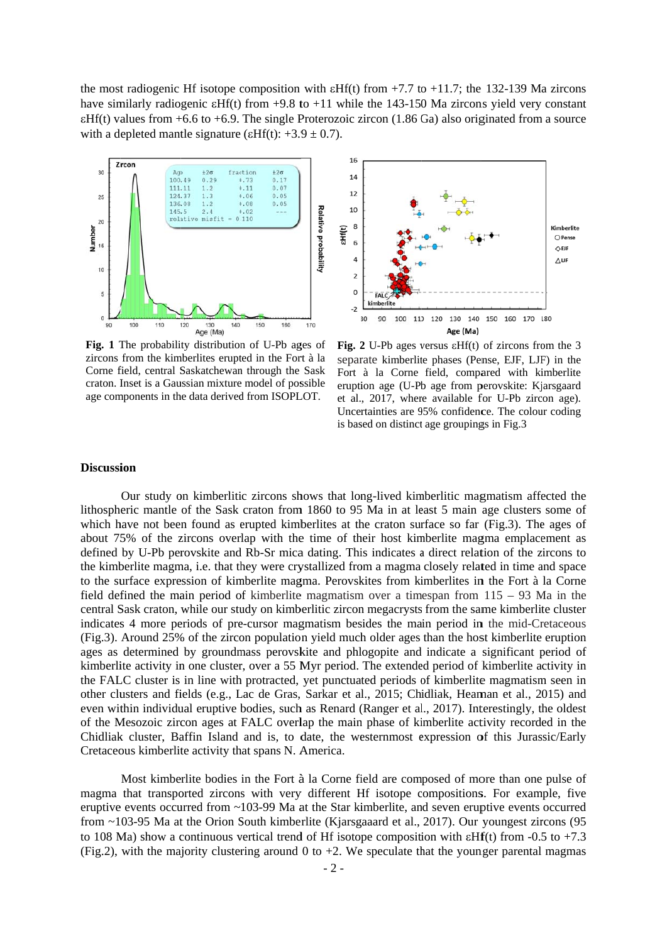the most radiogenic Hf isotope composition with  $\text{eff}(t)$  from +7.7 to +11.7; the 132-139 Ma zircons have similarly radiogenic  $\epsilon Hf(t)$  from +9.8 to +11 while the 143-150 Ma zircons yield very constant  $\epsilon Hf(t)$  values from +6.6 to +6.9. The single Proterozoic zircon (1.86 Ga) also originated from a source with a depleted mantle signature ( $\epsilon Hf(t)$ : +3.9 ± 0.7).



Fig. 1 The probability distribution of U-Pb ages of zircons from the kimberlites erupted in the Fort à la Corne field, central Saskatchewan through the Sask craton. Inset is a Gaussian mixture model of possible age components in the data derived from ISOPLOT.



Fig. 2 U-Pb ages versus  $\epsilon Hf(t)$  of zircons from the 3 separate kimberlite phases (Pense, EJF, LJF) in the Fort à la Corne field, compared with kimberlite eruption age (U-Pb age from perovskite: Kjarsgaard et al., 2017, where available for U-Pb zircon age). Uncertainties are 95% confidence. The colour coding is based on distinct age groupings in Fig.3

#### **Discussion**

Our study on kimberlitic zircons shows that long-lived kimberlitic magmatism affected the lithospheric mantle of the Sask craton from 1860 to 95 Ma in at least 5 main age clusters some of which have not been found as erupted kimberlites at the craton surface so far (Fig.3). The ages of about 75% of the zircons overlap with the time of their host kimberlite magma emplacement as defined by U-Pb perovskite and Rb-Sr mica dating. This indicates a direct relation of the zircons to the kimberlite magma, i.e. that they were crystallized from a magma closely related in time and space to the surface expression of kimberlite magma. Perovskites from kimberlites in the Fort à la Corne field defined the main period of kimberlite magmatism over a timespan from  $115 - 93$  Ma in the central Sask craton, while our study on kimberlitic zircon megacrysts from the same kimberlite cluster indicates 4 more periods of pre-cursor magmatism besides the main period in the mid-Cretaceous (Fig.3). Around 25% of the zircon population yield much older ages than the host kimberlite eruption ages as determined by groundmass perovskite and phlogopite and indicate a significant period of kimberlite activity in one cluster, over a 55 Myr period. The extended period of kimberlite activity in the FALC cluster is in line with protracted, yet punctuated periods of kimberlite magmatism seen in other clusters and fields (e.g., Lac de Gras, Sarkar et al., 2015; Chidliak, Heaman et al., 2015) and even within individual eruptive bodies, such as Renard (Ranger et al., 2017). Interestingly, the oldest of the Mesozoic zircon ages at FALC overlap the main phase of kimberlite activity recorded in the Chidliak cluster, Baffin Island and is, to date, the westernmost expression of this Jurassic/Early Cretaceous kimberlite activity that spans N. America.

Most kimberlite bodies in the Fort à la Corne field are composed of more than one pulse of magma that transported zircons with very different Hf isotope compositions. For example, five eruptive events occurred from  $\sim$ 103-99 Ma at the Star kimberlite, and seven eruptive events occurred from  $\sim$ 103-95 Ma at the Orion South kimberlite (Kjarsgaaard et al., 2017). Our youngest zircons (95 to 108 Ma) show a continuous vertical trend of Hf isotope composition with  $\epsilon$ Hf(t) from -0.5 to +7.3 (Fig.2), with the majority clustering around 0 to  $+2$ . We speculate that the younger parental magmas